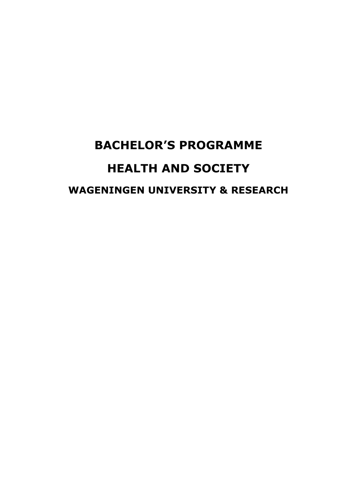# BACHELOR'S PROGRAMME HEALTH AND SOCIETY WAGENINGEN UNIVERSITY & RESEARCH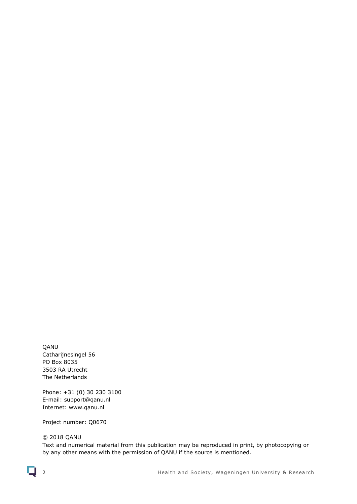QANU Catharijnesingel 56 PO Box 8035 3503 RA Utrecht The Netherlands

Phone: +31 (0) 30 230 3100 E-mail: support@qanu.nl Internet: www.qanu.nl

Project number: Q0670

#### © 2018 QANU

Text and numerical material from this publication may be reproduced in print, by photocopying or by any other means with the permission of QANU if the source is mentioned.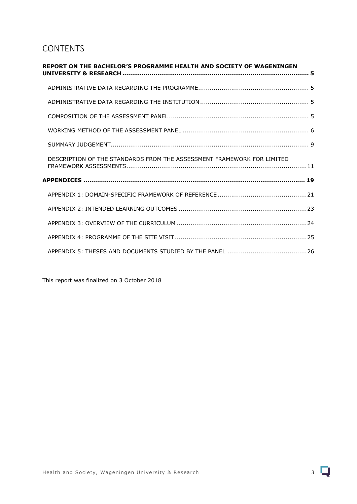### CONTENTS

| REPORT ON THE BACHELOR'S PROGRAMME HEALTH AND SOCIETY OF WAGENINGEN    |  |
|------------------------------------------------------------------------|--|
|                                                                        |  |
|                                                                        |  |
|                                                                        |  |
|                                                                        |  |
|                                                                        |  |
| DESCRIPTION OF THE STANDARDS FROM THE ASSESSMENT FRAMEWORK FOR LIMITED |  |
|                                                                        |  |
|                                                                        |  |
|                                                                        |  |
|                                                                        |  |
|                                                                        |  |
|                                                                        |  |

This report was finalized on 3 October 2018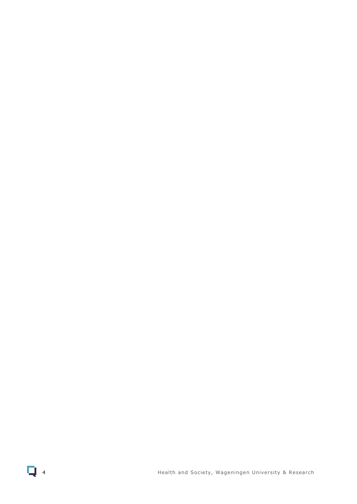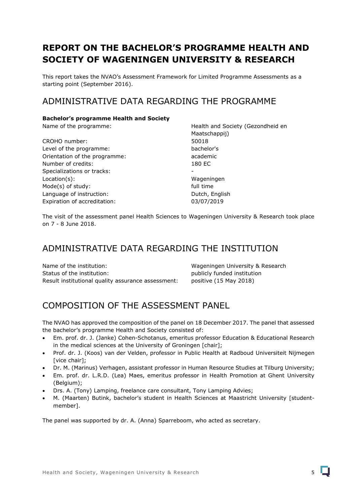# REPORT ON THE BACHELOR'S PROGRAMME HEALTH AND SOCIETY OF WAGENINGEN UNIVERSITY & RESEARCH

This report takes the NVAO's Assessment Framework for Limited Programme Assessments as a starting point (September 2016).

### ADMINISTRATIVE DATA REGARDING THE PROGRAMME

#### Bachelor's programme Health and Society

CROHO number: 50018 Level of the programme: bachelor's Orientation of the programme: academic Number of credits: 180 EC Specializations or tracks: Location(s): Wageningen Mode(s) of study: The study: the study of study: Language of instruction: Dutch, English Expiration of accreditation: 03/07/2019

Name of the programme:  $H$ ealth and Society (Gezondheid en Maatschappij)

The visit of the assessment panel Health Sciences to Wageningen University & Research took place on 7 - 8 June 2018.

## ADMINISTRATIVE DATA REGARDING THE INSTITUTION

Name of the institution: Wageningen University & Research Status of the institution: publicly funded institution Result institutional quality assurance assessment: positive (15 May 2018)

# COMPOSITION OF THE ASSESSMENT PANEL

The NVAO has approved the composition of the panel on 18 December 2017. The panel that assessed the bachelor's programme Health and Society consisted of:

- Em. prof. dr. J. (Janke) Cohen-Schotanus, emeritus professor Education & Educational Research in the medical sciences at the University of Groningen [chair];
- Prof. dr. J. (Koos) van der Velden, professor in Public Health at Radboud Universiteit Nijmegen [vice chair];
- Dr. M. (Marinus) Verhagen, assistant professor in Human Resource Studies at Tilburg University;
- Em. prof. dr. L.R.D. (Lea) Maes, emeritus professor in Health Promotion at Ghent University (Belgium);
- Drs. A. (Tony) Lamping, freelance care consultant, Tony Lamping Advies;
- M. (Maarten) Butink, bachelor's student in Health Sciences at Maastricht University [studentmember].

The panel was supported by dr. A. (Anna) Sparreboom, who acted as secretary.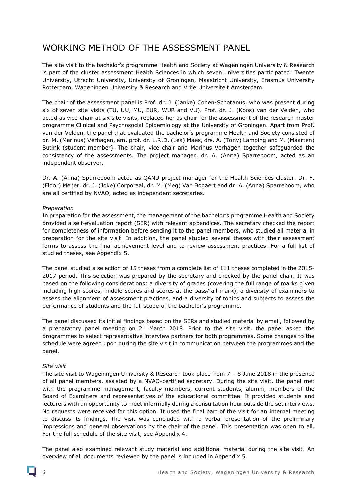### WORKING METHOD OF THE ASSESSMENT PANEL

The site visit to the bachelor's programme Health and Society at Wageningen University & Research is part of the cluster assessment Health Sciences in which seven universities participated: Twente University, Utrecht University, University of Groningen, Maastricht University, Erasmus University Rotterdam, Wageningen University & Research and Vrije Universiteit Amsterdam.

The chair of the assessment panel is Prof. dr. J. (Janke) Cohen-Schotanus, who was present during six of seven site visits (TU, UU, MU, EUR, WUR and VU). Prof. dr. J. (Koos) van der Velden, who acted as vice-chair at six site visits, replaced her as chair for the assessment of the research master programme Clinical and Psychosocial Epidemiology at the University of Groningen. Apart from Prof. van der Velden, the panel that evaluated the bachelor's programme Health and Society consisted of dr. M. (Marinus) Verhagen, em. prof. dr. L.R.D. (Lea) Maes, drs. A. (Tony) Lamping and M. (Maarten) Butink (student-member). The chair, vice-chair and Marinus Verhagen together safeguarded the consistency of the assessments. The project manager, dr. A. (Anna) Sparreboom, acted as an independent observer.

Dr. A. (Anna) Sparreboom acted as QANU project manager for the Health Sciences cluster. Dr. F. (Floor) Meijer, dr. J. (Joke) Corporaal, dr. M. (Meg) Van Bogaert and dr. A. (Anna) Sparreboom, who are all certified by NVAO, acted as independent secretaries.

#### *Preparation*

In preparation for the assessment, the management of the bachelor's programme Health and Society provided a self-evaluation report (SER) with relevant appendices. The secretary checked the report for completeness of information before sending it to the panel members, who studied all material in preparation for the site visit. In addition, the panel studied several theses with their assessment forms to assess the final achievement level and to review assessment practices. For a full list of studied theses, see Appendix 5.

The panel studied a selection of 15 theses from a complete list of 111 theses completed in the 2015- 2017 period. This selection was prepared by the secretary and checked by the panel chair. It was based on the following considerations: a diversity of grades (covering the full range of marks given including high scores, middle scores and scores at the pass/fail mark), a diversity of examiners to assess the alignment of assessment practices, and a diversity of topics and subjects to assess the performance of students and the full scope of the bachelor's programme.

The panel discussed its initial findings based on the SERs and studied material by email, followed by a preparatory panel meeting on 21 March 2018. Prior to the site visit, the panel asked the programmes to select representative interview partners for both programmes. Some changes to the schedule were agreed upon during the site visit in communication between the programmes and the panel.

#### *Site visit*

The site visit to Wageningen University & Research took place from  $7 - 8$  June 2018 in the presence of all panel members, assisted by a NVAO-certified secretary. During the site visit, the panel met with the programme management, faculty members, current students, alumni, members of the Board of Examiners and representatives of the educational committee. It provided students and lecturers with an opportunity to meet informally during a consultation hour outside the set interviews. No requests were received for this option. It used the final part of the visit for an internal meeting to discuss its findings. The visit was concluded with a verbal presentation of the preliminary impressions and general observations by the chair of the panel. This presentation was open to all. For the full schedule of the site visit, see Appendix 4.

The panel also examined relevant study material and additional material during the site visit. An overview of all documents reviewed by the panel is included in Appendix 5.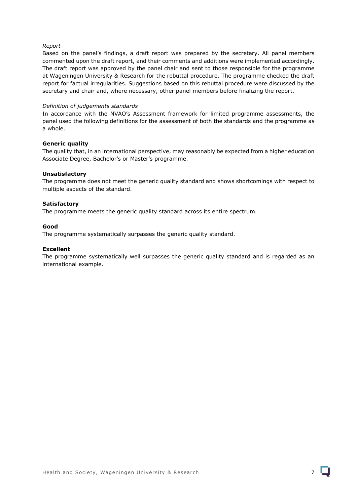#### *Report*

Based on the panel's findings, a draft report was prepared by the secretary. All panel members commented upon the draft report, and their comments and additions were implemented accordingly. The draft report was approved by the panel chair and sent to those responsible for the programme at Wageningen University & Research for the rebuttal procedure. The programme checked the draft report for factual irregularities. Suggestions based on this rebuttal procedure were discussed by the secretary and chair and, where necessary, other panel members before finalizing the report.

#### *Definition of judgements standards*

In accordance with the NVAO's Assessment framework for limited programme assessments, the panel used the following definitions for the assessment of both the standards and the programme as a whole.

#### Generic quality

The quality that, in an international perspective, may reasonably be expected from a higher education Associate Degree, Bachelor's or Master's programme.

#### Unsatisfactory

The programme does not meet the generic quality standard and shows shortcomings with respect to multiple aspects of the standard.

#### **Satisfactory**

The programme meets the generic quality standard across its entire spectrum.

#### Good

The programme systematically surpasses the generic quality standard.

#### Excellent

The programme systematically well surpasses the generic quality standard and is regarded as an international example.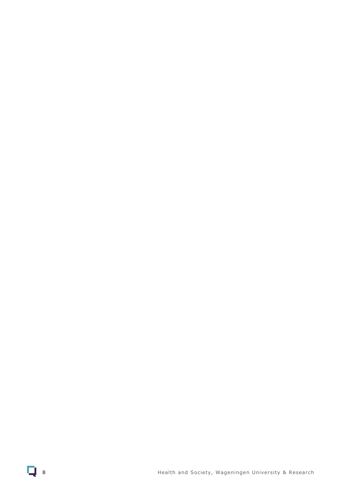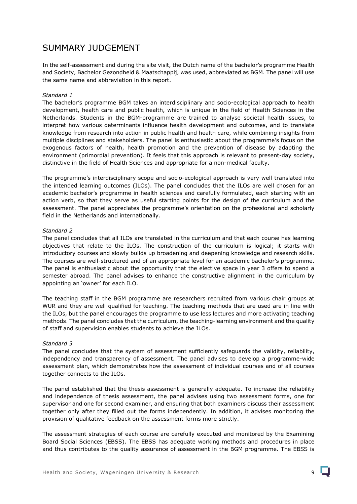### SUMMARY JUDGEMENT

In the self-assessment and during the site visit, the Dutch name of the bachelor's programme Health and Society, Bachelor Gezondheid & Maatschappij, was used, abbreviated as BGM. The panel will use the same name and abbreviation in this report.

#### *Standard 1*

The bachelor's programme BGM takes an interdisciplinary and socio-ecological approach to health development, health care and public health, which is unique in the field of Health Sciences in the Netherlands. Students in the BGM-programme are trained to analyse societal health issues, to interpret how various determinants influence health development and outcomes, and to translate knowledge from research into action in public health and health care, while combining insights from multiple disciplines and stakeholders. The panel is enthusiastic about the programme's focus on the exogenous factors of health, health promotion and the prevention of disease by adapting the environment (primordial prevention). It feels that this approach is relevant to present-day society, distinctive in the field of Health Sciences and appropriate for a non-medical faculty.

The programme's interdisciplinary scope and socio-ecological approach is very well translated into the intended learning outcomes (ILOs). The panel concludes that the ILOs are well chosen for an academic bachelor's programme in health sciences and carefully formulated, each starting with an action verb, so that they serve as useful starting points for the design of the curriculum and the assessment. The panel appreciates the programme's orientation on the professional and scholarly field in the Netherlands and internationally.

#### *Standard 2*

The panel concludes that all ILOs are translated in the curriculum and that each course has learning objectives that relate to the ILOs. The construction of the curriculum is logical; it starts with introductory courses and slowly builds up broadening and deepening knowledge and research skills. The courses are well-structured and of an appropriate level for an academic bachelor's programme. The panel is enthusiastic about the opportunity that the elective space in year 3 offers to spend a semester abroad. The panel advises to enhance the constructive alignment in the curriculum by appointing an 'owner' for each ILO.

The teaching staff in the BGM programme are researchers recruited from various chair groups at WUR and they are well qualified for teaching. The teaching methods that are used are in line with the ILOs, but the panel encourages the programme to use less lectures and more activating teaching methods. The panel concludes that the curriculum, the teaching-learning environment and the quality of staff and supervision enables students to achieve the ILOs.

#### *Standard 3*

The panel concludes that the system of assessment sufficiently safeguards the validity, reliability, independency and transparency of assessment. The panel advises to develop a programme-wide assessment plan, which demonstrates how the assessment of individual courses and of all courses together connects to the ILOs.

The panel established that the thesis assessment is generally adequate. To increase the reliability and independence of thesis assessment, the panel advises using two assessment forms, one for supervisor and one for second examiner, and ensuring that both examiners discuss their assessment together only after they filled out the forms independently. In addition, it advises monitoring the provision of qualitative feedback on the assessment forms more strictly.

The assessment strategies of each course are carefully executed and monitored by the Examining Board Social Sciences (EBSS). The EBSS has adequate working methods and procedures in place and thus contributes to the quality assurance of assessment in the BGM programme. The EBSS is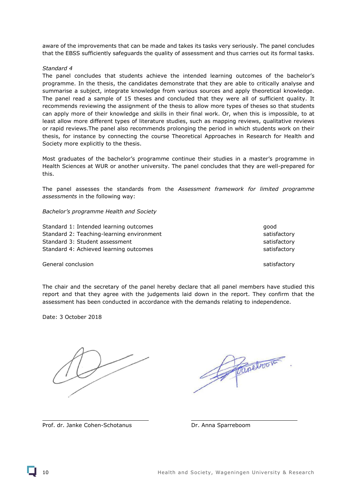aware of the improvements that can be made and takes its tasks very seriously. The panel concludes that the EBSS sufficiently safeguards the quality of assessment and thus carries out its formal tasks.

#### *Standard 4*

The panel concludes that students achieve the intended learning outcomes of the bachelor's programme. In the thesis, the candidates demonstrate that they are able to critically analyse and summarise a subject, integrate knowledge from various sources and apply theoretical knowledge. The panel read a sample of 15 theses and concluded that they were all of sufficient quality. It recommends reviewing the assignment of the thesis to allow more types of theses so that students can apply more of their knowledge and skills in their final work. Or, when this is impossible, to at least allow more different types of literature studies, such as mapping reviews, qualitative reviews or rapid reviews.The panel also recommends prolonging the period in which students work on their thesis, for instance by connecting the course Theoretical Approaches in Research for Health and Society more explicitly to the thesis.

Most graduates of the bachelor's programme continue their studies in a master's programme in Health Sciences at WUR or another university. The panel concludes that they are well-prepared for this.

The panel assesses the standards from the *Assessment framework for limited programme assessments* in the following way:

#### *Bachelor's programme Health and Society*

| Standard 1: Intended learning outcomes    | aood         |
|-------------------------------------------|--------------|
| Standard 2: Teaching-learning environment | satisfactory |
| Standard 3: Student assessment            | satisfactory |
| Standard 4: Achieved learning outcomes    | satisfactory |
| General conclusion                        | satisfactory |

The chair and the secretary of the panel hereby declare that all panel members have studied this report and that they agree with the judgements laid down in the report. They confirm that the assessment has been conducted in accordance with the demands relating to independence.

Date: 3 October 2018



Panelson

Prof. dr. Janke Cohen-Schotanus **Dr. Anna Sparreboom**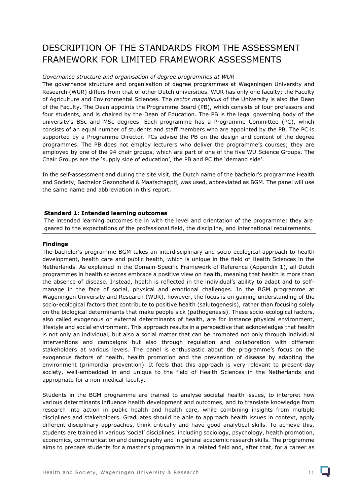# DESCRIPTION OF THE STANDARDS FROM THE ASSESSMENT FRAMEWORK FOR LIMITED FRAMEWORK ASSESSMENTS

#### *Governance structure and organisation of degree programmes at WUR*

The governance structure and organisation of degree programmes at Wageningen University and Research (WUR) differs from that of other Dutch universities. WUR has only one faculty; the Faculty of Agriculture and Environmental Sciences. The *rector magnificus* of the University is also the Dean of the Faculty. The Dean appoints the Programme Board (PB), which consists of four professors and four students, and is chaired by the Dean of Education. The PB is the legal governing body of the university's BSc and MSc degrees. Each programme has a Programme Committee (PC), which consists of an equal number of students and staff members who are appointed by the PB. The PC is supported by a Programme Director. PCs advise the PB on the design and content of the degree programmes. The PB does not employ lecturers who deliver the programme's courses; they are employed by one of the 94 chair groups, which are part of one of the five WU Science Groups. The Chair Groups are the 'supply side of education', the PB and PC the 'demand side'.

In the self-assessment and during the site visit, the Dutch name of the bachelor's programme Health and Society, Bachelor Gezondheid & Maatschappij, was used, abbreviated as BGM. The panel will use the same name and abbreviation in this report.

#### Standard 1: Intended learning outcomes

The intended learning outcomes tie in with the level and orientation of the programme; they are geared to the expectations of the professional field, the discipline, and international requirements.

#### Findings

The bachelor's programme BGM takes an interdisciplinary and socio-ecological approach to health development, health care and public health, which is unique in the field of Health Sciences in the Netherlands. As explained in the Domain-Specific Framework of Reference (Appendix 1), all Dutch programmes in health sciences embrace a positive view on health, meaning that health is more than the absence of disease. Instead, health is reflected in the individual's ability to adapt and to selfmanage in the face of social, physical and emotional challenges. In the BGM programme at Wageningen University and Research (WUR), however, the focus is on gaining understanding of the socio-ecological factors that contribute to positive health (salutogenesis), rather than focusing solely on the biological determinants that make people sick (pathogenesis). These socio-ecological factors, also called exogenous or external determinants of health, are for instance physical environment, lifestyle and social environment. This approach results in a perspective that acknowledges that health is not only an individual, but also a social matter that can be promoted not only through individual interventions and campaigns but also through regulation and collaboration with different stakeholders at various levels. The panel is enthusiastic about the programme's focus on the exogenous factors of health, health promotion and the prevention of disease by adapting the environment (primordial prevention). It feels that this approach is very relevant to present-day society, well-embedded in and unique to the field of Health Sciences in the Netherlands and appropriate for a non-medical faculty.

Students in the BGM programme are trained to analyse societal health issues, to interpret how various determinants influence health development and outcomes, and to translate knowledge from research into action in public health and health care, while combining insights from multiple disciplines and stakeholders. Graduates should be able to approach health issues in context, apply different disciplinary approaches, think critically and have good analytical skills. To achieve this, students are trained in various 'social' disciplines, including sociology, psychology, health promotion, economics, communication and demography and in general academic research skills. The programme aims to prepare students for a master's programme in a related field and, after that, for a career as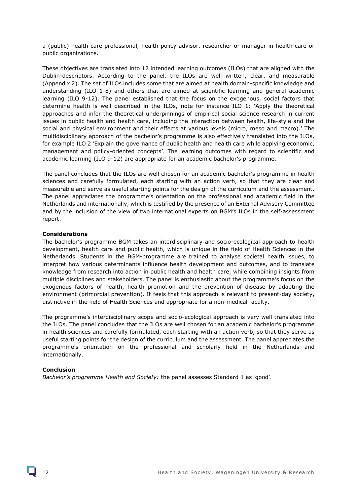a (public) health care professional, health policy advisor, researcher or manager in health care or public organizations.

These objectives are translated into 12 intended learning outcomes (ILOs) that are aligned with the Dublin-descriptors. According to the panel, the ILOs are well written, clear, and measurable (Appendix 2). The set of ILOs includes some that are aimed at health domain-specific knowledge and understanding (ILO 1-8) and others that are aimed at scientific learning and general academic learning (ILO 9-12). The panel established that the focus on the exogenous, social factors that determine health is well described in the ILOs, note for instance ILO 1: 'Apply the theoretical approaches and infer the theoretical underpinnings of empirical social science research in current issues in public health and health care, including the interaction between health, life-style and the social and physical environment and their effects at various levels (micro, meso and macro).' The multidisciplinary approach of the bachelor's programme is also effectively translated into the ILOs, for example ILO 2 'Explain the governance of public health and health care while applying economic, management and policy-oriented concepts'. The learning outcomes with regard to scientific and academic learning (ILO 9-12) are appropriate for an academic bachelor's programme.

The panel concludes that the ILOs are well chosen for an academic bachelor's programme in health sciences and carefully formulated, each starting with an action verb, so that they are clear and measurable and serve as useful starting points for the design of the curriculum and the assessment. The panel appreciates the programme's orientation on the professional and academic field in the Netherlands and internationally, which is testified by the presence of an External Advisory Committee and by the inclusion of the view of two international experts on BGM's ILOs in the self-assessment report.

#### Considerations

The bachelor's programme BGM takes an interdisciplinary and socio-ecological approach to health development, health care and public health, which is unique in the field of Health Sciences in the Netherlands. Students in the BGM-programme are trained to analyse societal health issues, to interpret how various determinants influence health development and outcomes, and to translate knowledge from research into action in public health and health care, while combining insights from multiple disciplines and stakeholders. The panel is enthusiastic about the programme's focus on the exogenous factors of health, health promotion and the prevention of disease by adapting the environment (primordial prevention). It feels that this approach is relevant to present-day society, distinctive in the field of Health Sciences and appropriate for a non-medical faculty.

The programme's interdisciplinary scope and socio-ecological approach is very well translated into the ILOs. The panel concludes that the ILOs are well chosen for an academic bachelor's programme in health sciences and carefully formulated, each starting with an action verb, so that they serve as useful starting points for the design of the curriculum and the assessment. The panel appreciates the programme's orientation on the professional and scholarly field in the Netherlands and internationally.

#### Conclusion

*Bachelor's programme Health and Society:* the panel assesses Standard 1 as 'good'.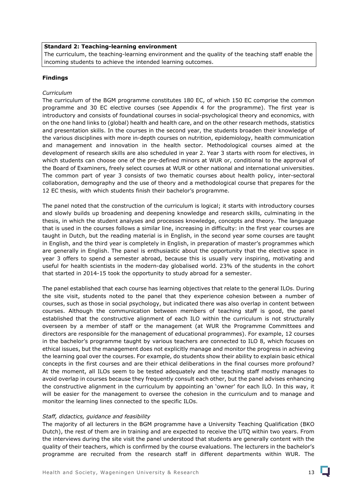#### Standard 2: Teaching-learning environment

The curriculum, the teaching-learning environment and the quality of the teaching staff enable the incoming students to achieve the intended learning outcomes.

#### Findings

#### *Curriculum*

The curriculum of the BGM programme constitutes 180 EC, of which 150 EC comprise the common programme and 30 EC elective courses (see Appendix 4 for the programme). The first year is introductory and consists of foundational courses in social-psychological theory and economics, with on the one hand links to (global) health and health care, and on the other research methods, statistics and presentation skills. In the courses in the second year, the students broaden their knowledge of the various disciplines with more in-depth courses on nutrition, epidemiology, health communication and management and innovation in the health sector. Methodological courses aimed at the development of research skills are also scheduled in year 2. Year 3 starts with room for electives, in which students can choose one of the pre-defined minors at WUR or, conditional to the approval of the Board of Examiners, freely select courses at WUR or other national and international universities. The common part of year 3 consists of two thematic courses about health policy, inter-sectoral collaboration, demography and the use of theory and a methodological course that prepares for the 12 EC thesis, with which students finish their bachelor's programme.

The panel noted that the construction of the curriculum is logical; it starts with introductory courses and slowly builds up broadening and deepening knowledge and research skills, culminating in the thesis, in which the student analyses and processes knowledge, concepts and theory. The language that is used in the courses follows a similar line, increasing in difficulty: in the first year courses are taught in Dutch, but the reading material is in English, in the second year some courses are taught in English, and the third year is completely in English, in preparation of master's programmes which are generally in English. The panel is enthusiastic about the opportunity that the elective space in year 3 offers to spend a semester abroad, because this is usually very inspiring, motivating and useful for health scientists in the modern-day globalised world. 23% of the students in the cohort that started in 2014-15 took the opportunity to study abroad for a semester.

The panel established that each course has learning objectives that relate to the general ILOs. During the site visit, students noted to the panel that they experience cohesion between a number of courses, such as those in social psychology, but indicated there was also overlap in content between courses. Although the communication between members of teaching staff is good, the panel established that the constructive alignment of each ILO within the curriculum is not structurally overseen by a member of staff or the management (at WUR the Programme Committees and directors are responsible for the management of educational programmes). For example, 12 courses in the bachelor's programme taught by various teachers are connected to ILO 8, which focuses on ethical issues, but the management does not explicitly manage and monitor the progress in achieving the learning goal over the courses. For example, do students show their ability to explain basic ethical concepts in the first courses and are their ethical deliberations in the final courses more profound? At the moment, all ILOs seem to be tested adequately and the teaching staff mostly manages to avoid overlap in courses because they frequently consult each other, but the panel advises enhancing the constructive alignment in the curriculum by appointing an 'owner' for each ILO. In this way, it will be easier for the management to oversee the cohesion in the curriculum and to manage and monitor the learning lines connected to the specific ILOs.

#### *Staff, didactics, guidance and feasibility*

The majority of all lecturers in the BGM programme have a University Teaching Qualification (BKO Dutch), the rest of them are in training and are expected to receive the UTQ within two years. From the interviews during the site visit the panel understood that students are generally content with the quality of their teachers, which is confirmed by the course evaluations. The lecturers in the bachelor's programme are recruited from the research staff in different departments within WUR. The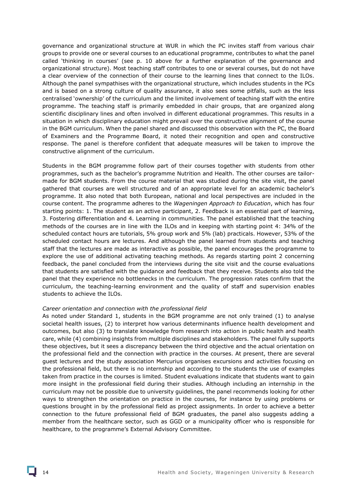governance and organizational structure at WUR in which the PC invites staff from various chair groups to provide one or several courses to an educational programme, contributes to what the panel called 'thinking in courses' (see p. 10 above for a further explanation of the governance and organizational structure). Most teaching staff contributes to one or several courses, but do not have a clear overview of the connection of their course to the learning lines that connect to the ILOs. Although the panel sympathises with the organizational structure, which includes students in the PCs and is based on a strong culture of quality assurance, it also sees some pitfalls, such as the less centralised 'ownership' of the curriculum and the limited involvement of teaching staff with the entire programme. The teaching staff is primarily embedded in chair groups, that are organized along scientific disciplinary lines and often involved in different educational programmes. This results in a situation in which disciplinary education might prevail over the constructive alignment of the course in the BGM curriculum. When the panel shared and discussed this observation with the PC, the Board of Examiners and the Programme Board, it noted their recognition and open and constructive response. The panel is therefore confident that adequate measures will be taken to improve the constructive alignment of the curriculum.

Students in the BGM programme follow part of their courses together with students from other programmes, such as the bachelor's programme Nutrition and Health. The other courses are tailormade for BGM students. From the course material that was studied during the site visit, the panel gathered that courses are well structured and of an appropriate level for an academic bachelor's programme. It also noted that both European, national and local perspectives are included in the course content. The programme adheres to the *Wageningen Approach to Education*, which has four starting points: 1. The student as an active participant, 2. Feedback is an essential part of learning, 3. Fostering differentiation and 4. Learning in communities. The panel established that the teaching methods of the courses are in line with the ILOs and in keeping with starting point 4: 34% of the scheduled contact hours are tutorials, 5% group work and 5% (lab) practicals. However, 53% of the scheduled contact hours are lectures. And although the panel learned from students and teaching staff that the lectures are made as interactive as possible, the panel encourages the programme to explore the use of additional activating teaching methods. As regards starting point 2 concerning feedback, the panel concluded from the interviews during the site visit and the course evaluations that students are satisfied with the guidance and feedback that they receive. Students also told the panel that they experience no bottlenecks in the curriculum. The progression rates confirm that the curriculum, the teaching-learning environment and the quality of staff and supervision enables students to achieve the ILOs.

#### *Career orientation and connection with the professional field*

As noted under Standard 1, students in the BGM programme are not only trained (1) to analyse societal health issues, (2) to interpret how various determinants influence health development and outcomes, but also (3) to translate knowledge from research into action in public health and health care, while (4) combining insights from multiple disciplines and stakeholders. The panel fully supports these objectives, but it sees a discrepancy between the third objective and the actual orientation on the professional field and the connection with practice in the courses. At present, there are several guest lectures and the study association Mercurius organises excursions and activities focusing on the professional field, but there is no internship and according to the students the use of examples taken from practice in the courses is limited. Student evaluations indicate that students want to gain more insight in the professional field during their studies. Although including an internship in the curriculum may not be possible due to university guidelines, the panel recommends looking for other ways to strengthen the orientation on practice in the courses, for instance by using problems or questions brought in by the professional field as project assignments. In order to achieve a better connection to the future professional field of BGM graduates, the panel also suggests adding a member from the healthcare sector, such as GGD or a municipality officer who is responsible for healthcare, to the programme's External Advisory Committee.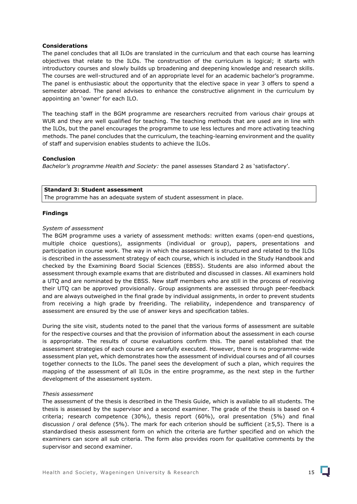#### Considerations

The panel concludes that all ILOs are translated in the curriculum and that each course has learning objectives that relate to the ILOs. The construction of the curriculum is logical; it starts with introductory courses and slowly builds up broadening and deepening knowledge and research skills. The courses are well-structured and of an appropriate level for an academic bachelor's programme. The panel is enthusiastic about the opportunity that the elective space in year 3 offers to spend a semester abroad. The panel advises to enhance the constructive alignment in the curriculum by appointing an 'owner' for each ILO.

The teaching staff in the BGM programme are researchers recruited from various chair groups at WUR and they are well qualified for teaching. The teaching methods that are used are in line with the ILOs, but the panel encourages the programme to use less lectures and more activating teaching methods. The panel concludes that the curriculum, the teaching-learning environment and the quality of staff and supervision enables students to achieve the ILOs.

#### Conclusion

*Bachelor's programme Health and Society:* the panel assesses Standard 2 as 'satisfactory'.

#### Standard 3: Student assessment

The programme has an adequate system of student assessment in place.

#### Findings

#### *System of assessment*

The BGM programme uses a variety of assessment methods: written exams (open-end questions, multiple choice questions), assignments (individual or group), papers, presentations and participation in course work. The way in which the assessment is structured and related to the ILOs is described in the assessment strategy of each course, which is included in the Study Handbook and checked by the Examining Board Social Sciences (EBSS). Students are also informed about the assessment through example exams that are distributed and discussed in classes. All examiners hold a UTQ and are nominated by the EBSS. New staff members who are still in the process of receiving their UTQ can be approved provisionally. Group assignments are assessed through peer-feedback and are always outweighed in the final grade by individual assignments, in order to prevent students from receiving a high grade by freeriding. The reliability, independence and transparency of assessment are ensured by the use of answer keys and specification tables.

During the site visit, students noted to the panel that the various forms of assessment are suitable for the respective courses and that the provision of information about the assessment in each course is appropriate. The results of course evaluations confirm this. The panel established that the assessment strategies of each course are carefully executed. However, there is no programme-wide assessment plan yet, which demonstrates how the assessment of individual courses and of all courses together connects to the ILOs. The panel sees the development of such a plan, which requires the mapping of the assessment of all ILOs in the entire programme, as the next step in the further development of the assessment system.

#### *Thesis assessment*

The assessment of the thesis is described in the Thesis Guide, which is available to all students. The thesis is assessed by the supervisor and a second examiner. The grade of the thesis is based on 4 criteria; research competence (30%), thesis report (60%), oral presentation (5%) and final discussion / oral defence (5%). The mark for each criterion should be sufficient ( $\geq$ 5,5). There is a standardised thesis assessment form on which the criteria are further specified and on which the examiners can score all sub criteria. The form also provides room for qualitative comments by the supervisor and second examiner.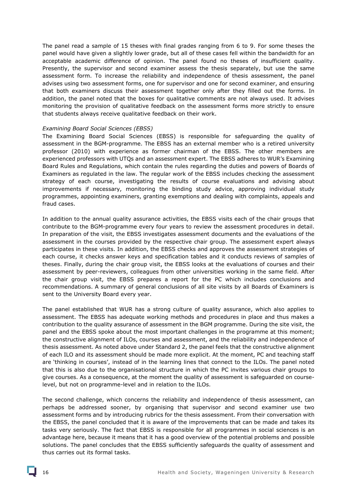The panel read a sample of 15 theses with final grades ranging from 6 to 9. For some theses the panel would have given a slightly lower grade, but all of these cases fell within the bandwidth for an acceptable academic difference of opinion. The panel found no theses of insufficient quality. Presently, the supervisor and second examiner assess the thesis separately, but use the same assessment form. To increase the reliability and independence of thesis assessment, the panel advises using two assessment forms, one for supervisor and one for second examiner, and ensuring that both examiners discuss their assessment together only after they filled out the forms. In addition, the panel noted that the boxes for qualitative comments are not always used. It advises monitoring the provision of qualitative feedback on the assessment forms more strictly to ensure that students always receive qualitative feedback on their work.

#### *Examining Board Social Sciences (EBSS)*

The Examining Board Social Sciences (EBSS) is responsible for safeguarding the quality of assessment in the BGM-programme. The EBSS has an external member who is a retired university professor (2010) with experience as former chairman of the EBSS. The other members are experienced professors with UTQs and an assessment expert. The EBSS adheres to WUR's Examining Board Rules and Regulations, which contain the rules regarding the duties and powers of Boards of Examiners as regulated in the law. The regular work of the EBSS includes checking the assessment strategy of each course, investigating the results of course evaluations and advising about improvements if necessary, monitoring the binding study advice, approving individual study programmes, appointing examiners, granting exemptions and dealing with complaints, appeals and fraud cases.

In addition to the annual quality assurance activities, the EBSS visits each of the chair groups that contribute to the BGM-programme every four years to review the assessment procedures in detail. In preparation of the visit, the EBSS investigates assessment documents and the evaluations of the assessment in the courses provided by the respective chair group. The assessment expert always participates in these visits. In addition, the EBSS checks and approves the assessment strategies of each course, it checks answer keys and specification tables and it conducts reviews of samples of theses. Finally, during the chair group visit, the EBSS looks at the evaluations of courses and their assessment by peer-reviewers, colleagues from other universities working in the same field. After the chair group visit, the EBSS prepares a report for the PC which includes conclusions and recommendations. A summary of general conclusions of all site visits by all Boards of Examiners is sent to the University Board every year.

The panel established that WUR has a strong culture of quality assurance, which also applies to assessment. The EBSS has adequate working methods and procedures in place and thus makes a contribution to the quality assurance of assessment in the BGM programme. During the site visit, the panel and the EBSS spoke about the most important challenges in the programme at this moment; the constructive alignment of ILOs, courses and assessment, and the reliability and independence of thesis assessment. As noted above under Standard 2, the panel feels that the constructive alignment of each ILO and its assessment should be made more explicit. At the moment, PC and teaching staff are 'thinking in courses', instead of in the learning lines that connect to the ILOs. The panel noted that this is also due to the organisational structure in which the PC invites various chair groups to give courses. As a consequence, at the moment the quality of assessment is safeguarded on courselevel, but not on programme-level and in relation to the ILOs.

The second challenge, which concerns the reliability and independence of thesis assessment, can perhaps be addressed sooner, by organising that supervisor and second examiner use two assessment forms and by introducing rubrics for the thesis assessment. From their conversation with the EBSS, the panel concluded that it is aware of the improvements that can be made and takes its tasks very seriously. The fact that EBSS is responsible for all programmes in social sciences is an advantage here, because it means that it has a good overview of the potential problems and possible solutions. The panel concludes that the EBSS sufficiently safeguards the quality of assessment and thus carries out its formal tasks.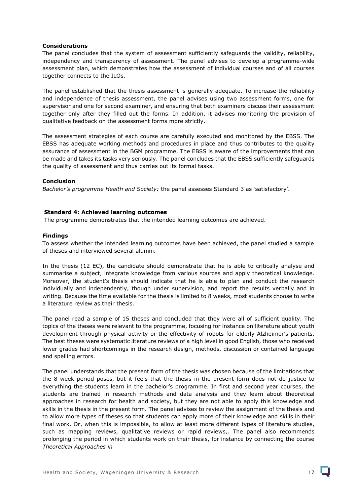#### Considerations

The panel concludes that the system of assessment sufficiently safeguards the validity, reliability, independency and transparency of assessment. The panel advises to develop a programme-wide assessment plan, which demonstrates how the assessment of individual courses and of all courses together connects to the ILOs.

The panel established that the thesis assessment is generally adequate. To increase the reliability and independence of thesis assessment, the panel advises using two assessment forms, one for supervisor and one for second examiner, and ensuring that both examiners discuss their assessment together only after they filled out the forms. In addition, it advises monitoring the provision of qualitative feedback on the assessment forms more strictly.

The assessment strategies of each course are carefully executed and monitored by the EBSS. The EBSS has adequate working methods and procedures in place and thus contributes to the quality assurance of assessment in the BGM programme. The EBSS is aware of the improvements that can be made and takes its tasks very seriously. The panel concludes that the EBSS sufficiently safeguards the quality of assessment and thus carries out its formal tasks.

#### Conclusion

*Bachelor's programme Health and Society:* the panel assesses Standard 3 as 'satisfactory'.

#### Standard 4: Achieved learning outcomes

The programme demonstrates that the intended learning outcomes are achieved.

#### Findings

To assess whether the intended learning outcomes have been achieved, the panel studied a sample of theses and interviewed several alumni.

In the thesis (12 EC), the candidate should demonstrate that he is able to critically analyse and summarise a subject, integrate knowledge from various sources and apply theoretical knowledge. Moreover, the student's thesis should indicate that he is able to plan and conduct the research individually and independently, though under supervision, and report the results verbally and in writing. Because the time available for the thesis is limited to 8 weeks, most students choose to write a literature review as their thesis.

The panel read a sample of 15 theses and concluded that they were all of sufficient quality. The topics of the theses were relevant to the programme, focusing for instance on literature about youth development through physical activity or the effectivity of robots for elderly Alzheimer's patients. The best theses were systematic literature reviews of a high level in good English, those who received lower grades had shortcomings in the research design, methods, discussion or contained language and spelling errors.

The panel understands that the present form of the thesis was chosen because of the limitations that the 8 week period poses, but it feels that the thesis in the present form does not do justice to everything the students learn in the bachelor's programme. In first and second year courses, the students are trained in research methods and data analysis and they learn about theoretical approaches in research for health and society, but they are not able to apply this knowledge and skills in the thesis in the present form. The panel advises to review the assignment of the thesis and to allow more types of theses so that students can apply more of their knowledge and skills in their final work. Or, when this is impossible, to allow at least more different types of literature studies, such as mapping reviews, qualitative reviews or rapid reviews,. The panel also recommends prolonging the period in which students work on their thesis, for instance by connecting the course *Theoretical Approaches in*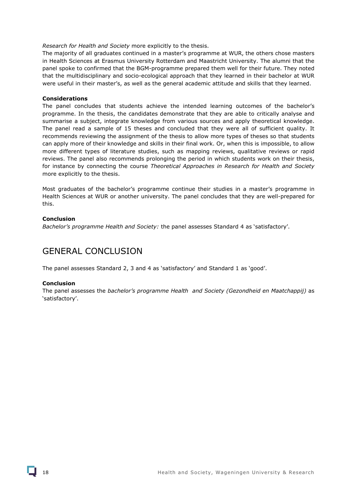#### *Research for Health and Society* more explicitly to the thesis.

The majority of all graduates continued in a master's programme at WUR, the others chose masters in Health Sciences at Erasmus University Rotterdam and Maastricht University. The alumni that the panel spoke to confirmed that the BGM-programme prepared them well for their future. They noted that the multidisciplinary and socio-ecological approach that they learned in their bachelor at WUR were useful in their master's, as well as the general academic attitude and skills that they learned.

#### Considerations

The panel concludes that students achieve the intended learning outcomes of the bachelor's programme. In the thesis, the candidates demonstrate that they are able to critically analyse and summarise a subject, integrate knowledge from various sources and apply theoretical knowledge. The panel read a sample of 15 theses and concluded that they were all of sufficient quality. It recommends reviewing the assignment of the thesis to allow more types of theses so that students can apply more of their knowledge and skills in their final work. Or, when this is impossible, to allow more different types of literature studies, such as mapping reviews, qualitative reviews or rapid reviews. The panel also recommends prolonging the period in which students work on their thesis, for instance by connecting the course *Theoretical Approaches in Research for Health and Society* more explicitly to the thesis.

Most graduates of the bachelor's programme continue their studies in a master's programme in Health Sciences at WUR or another university. The panel concludes that they are well-prepared for this.

#### Conclusion

*Bachelor's programme Health and Society:* the panel assesses Standard 4 as 'satisfactory'.

## GENERAL CONCLUSION

The panel assesses Standard 2, 3 and 4 as 'satisfactory' and Standard 1 as 'good'.

#### Conclusion

The panel assesses the *bachelor's programme Health and Society (Gezondheid en Maatchappij)* as 'satisfactory'.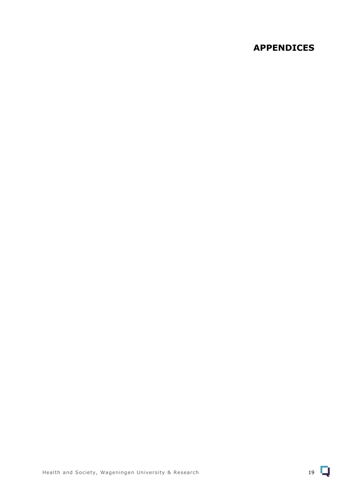### APPENDICES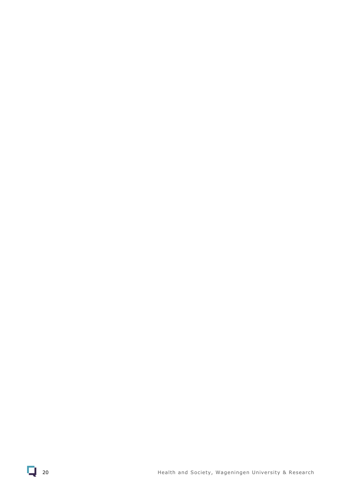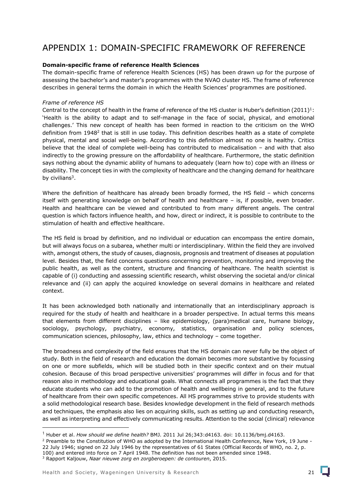## APPENDIX 1: DOMAIN-SPECIFIC FRAMEWORK OF REFERENCE

#### Domain-specific frame of reference Health Sciences

The domain-specific frame of reference Health Sciences (HS) has been drawn up for the purpose of assessing the bachelor's and master's programmes with the NVAO cluster HS. The frame of reference describes in general terms the domain in which the Health Sciences' programmes are positioned.

#### *Frame of reference HS*

Central to the concept of health in the frame of reference of the HS cluster is Huber's definition (2011)<sup>1</sup>: 'Health is the ability to adapt and to self-manage in the face of social, physical, and emotional challenges.' This new concept of health has been formed in reaction to the criticism on the WHO definition from 1948<sup>2</sup> that is still in use today. This definition describes health as a state of complete physical, mental and social well-being. According to this definition almost no one is healthy. Critics believe that the ideal of complete well-being has contributed to medicalisation – and with that also indirectly to the growing pressure on the affordability of healthcare. Furthermore, the static definition says nothing about the dynamic ability of humans to adequately (learn how to) cope with an illness or disability. The concept ties in with the complexity of healthcare and the changing demand for healthcare by civilians $3$ .

Where the definition of healthcare has already been broadly formed, the HS field – which concerns itself with generating knowledge on behalf of health and healthcare – is, if possible, even broader. Health and healthcare can be viewed and contributed to from many different angels. The central question is which factors influence health, and how, direct or indirect, it is possible to contribute to the stimulation of health and effective healthcare.

The HS field is broad by definition, and no individual or education can encompass the entire domain, but will always focus on a subarea, whether multi or interdisciplinary. Within the field they are involved with, amongst others, the study of causes, diagnosis, prognosis and treatment of diseases at population level. Besides that, the field concerns questions concerning prevention, monitoring and improving the public health, as well as the content, structure and financing of healthcare. The health scientist is capable of (i) conducting and assessing scientific research, whilst observing the societal and/or clinical relevance and (ii) can apply the acquired knowledge on several domains in healthcare and related context.

It has been acknowledged both nationally and internationally that an interdisciplinary approach is required for the study of health and healthcare in a broader perspective. In actual terms this means that elements from different disciplines – like epidemiology, (para)medical care, humane biology, sociology, psychology, psychiatry, economy, statistics, organisation and policy sciences, communication sciences, philosophy, law, ethics and technology – come together.

The broadness and complexity of the field ensures that the HS domain can never fully be the object of study. Both in the field of research and education the domain becomes more substantive by focussing on one or more subfields, which will be studied both in their specific context and on their mutual cohesion. Because of this broad perspective universities' programmes will differ in focus and for that reason also in methodology and educational goals. What connects all programmes is the fact that they educate students who can add to the promotion of health and wellbeing in general, and to the future of healthcare from their own specific competences. All HS programmes strive to provide students with a solid methodological research base. Besides knowledge development in the field of research methods and techniques, the emphasis also lies on acquiring skills, such as setting up and conducting research, as well as interpreting and effectively communicating results. Attention to the social (clinical) relevance

i<br>I

<sup>1</sup> Huber et al. *How should we define health?* BMJ. 2011 Jul 26;343:d4163. doi: 10.1136/bmj.d4163.

<sup>2</sup> Preamble to the Constitution of WHO as adopted by the International Health Conference, New York, 19 June - 22 July 1946; signed on 22 July 1946 by the representatives of 61 States (Official Records of WHO, no. 2, p.

<sup>100)</sup> and entered into force on 7 April 1948. The definition has not been amended since 1948.

<sup>3</sup> Rapport Kaljouw, *Naar nieuwe zorg en zorgberoepen: de contouren*, 2015.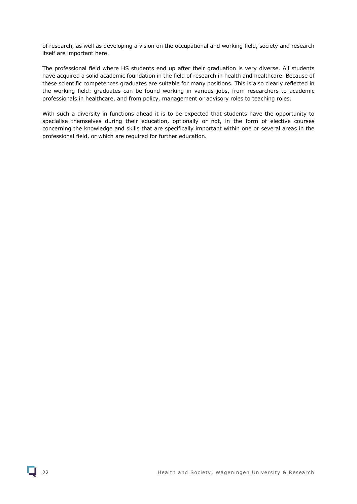of research, as well as developing a vision on the occupational and working field, society and research itself are important here.

The professional field where HS students end up after their graduation is very diverse. All students have acquired a solid academic foundation in the field of research in health and healthcare. Because of these scientific competences graduates are suitable for many positions. This is also clearly reflected in the working field: graduates can be found working in various jobs, from researchers to academic professionals in healthcare, and from policy, management or advisory roles to teaching roles.

With such a diversity in functions ahead it is to be expected that students have the opportunity to specialise themselves during their education, optionally or not, in the form of elective courses concerning the knowledge and skills that are specifically important within one or several areas in the professional field, or which are required for further education.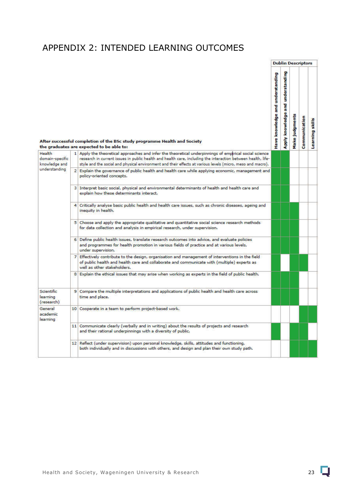# APPENDIX 2: INTENDED LEARNING OUTCOMES

|                                      |                                                                                                                                                                                                                                 |                                  |                                   |                | <b>Dublin Descriptors</b> |                 |
|--------------------------------------|---------------------------------------------------------------------------------------------------------------------------------------------------------------------------------------------------------------------------------|----------------------------------|-----------------------------------|----------------|---------------------------|-----------------|
|                                      | After successful completion of the BSc study programme Health and Society                                                                                                                                                       | Have knowledge and understanding | Apply knowledge and understanding | Make judgments | Communication             | Learning skills |
| Health                               | the graduates are expected to be able to:<br>1 Apply the theoretical approaches and infer the theoretical underpinnings of empirical social science                                                                             |                                  |                                   |                |                           |                 |
| domain-specific<br>knowledge and     | research in current issues in public health and health care, including the interaction between health, life-<br>style and the social and physical environment and their effects at various levels (micro, meso and macro).      |                                  |                                   |                |                           |                 |
| understanding                        | 2 Explain the governance of public health and health care while applying economic, management and<br>policy-oriented concepts.                                                                                                  |                                  |                                   |                |                           |                 |
|                                      | 3 Interpret basic social, physical and environmental determinants of health and health care and<br>explain how these determinants interact.                                                                                     |                                  |                                   |                |                           |                 |
|                                      | 4 Critically analyse basic public health and health care issues, such as chronic diseases, ageing and<br>inequity in health.                                                                                                    |                                  |                                   |                |                           |                 |
|                                      | 5 Choose and apply the appropriate qualitative and quantitative social science research methods<br>for data collection and analysis in empirical research, under supervision.                                                   |                                  |                                   |                |                           |                 |
|                                      | 6 Define public health issues, translate research outcomes into advice, and evaluate policies<br>and programmes for health promotion in various fields of practice and at various levels,<br>under supervision.                 |                                  |                                   |                |                           |                 |
|                                      | 7 Effectively contribute to the design, organisation and management of interventions in the field<br>of public health and health care and collaborate and communicate with (multiple) experts as<br>well as other stakeholders. |                                  |                                   |                |                           |                 |
|                                      | 8 Explain the ethical issues that may arise when working as experts in the field of public health.                                                                                                                              |                                  |                                   |                |                           |                 |
| Scientific<br>learning<br>(research) | 9 Compare the multiple interpretations and applications of public health and health care across<br>time and place.                                                                                                              |                                  |                                   |                |                           |                 |
| General<br>academic<br>learning      | 10 Cooperate in a team to perform project-based work.                                                                                                                                                                           |                                  |                                   |                |                           |                 |
|                                      | 11 Communicate clearly (verbally and in writing) about the results of projects and research<br>and their rational underpinnings with a diversity of public.                                                                     |                                  |                                   |                |                           |                 |
|                                      | 12 Reflect (under supervision) upon personal knowledge, skills, attitudes and functioning,<br>both individually and in discussions with others, and design and plan their own study path.                                       |                                  |                                   |                |                           |                 |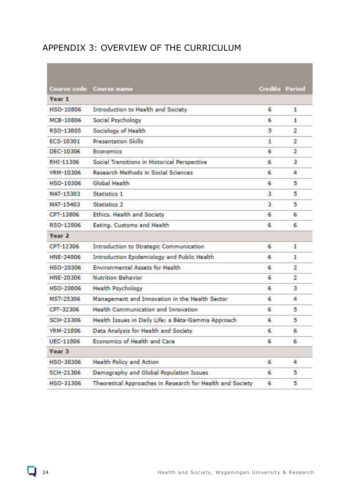# APPENDIX 3: OVERVIEW OF THE CURRICULUM

and the contract of the contract of the

|                   | Course code Course name                                   | <b>Credits Period</b> |                |
|-------------------|-----------------------------------------------------------|-----------------------|----------------|
| Year 1            |                                                           |                       |                |
| HSO-10806         | Introduction to Health and Society                        | 6                     | 1              |
| MCB-10806         | Social Psychology                                         | 6                     | 1              |
| RSO-13805         | Sociology of Health                                       | 5                     | $\overline{2}$ |
| FCS-10301         | <b>Presentation Skills</b>                                | t.                    | $\overline{2}$ |
| DEC-10306         | Economics                                                 | 6.                    | $\overline{2}$ |
| RHI-11306         | Social Transitions in Historical Perspective              | 6.                    | з              |
| <b>YRM-10306</b>  | <b>Research Methods in Social Sciences</b>                | 6.                    | 4              |
| HSO-10306         | Global Health                                             | $\epsilon$            | 5              |
| MAT-15303         | Statistics 1                                              | 3                     | 5              |
| MAT-15403         | Statistics 2                                              | з                     | 5              |
| CPT-13806         | Ethics. Health and Society                                | 6                     | 6              |
| RSO-12806         | Eating. Customs and Health                                | 6                     | 6              |
| Year <sub>2</sub> |                                                           |                       |                |
| CPT-12306         | Introduction to Strategic Communication                   | 6.                    | 1              |
| HNE-24806         | Introduction Epidemiology and Public Health               | 6.                    | 1              |
| HSO-20306         | <b>Environmental Assets for Health</b>                    | 6                     | 2              |
| <b>HNE-20306</b>  | <b>Nutrition Behavior</b>                                 | 6                     | 2              |
| HSO-20806         | <b>Health Psychology</b>                                  | 6                     | 3              |
| MST-25306         | Management and Innovation in the Health Sector            | 6                     | 4              |
| CPT-32306         | Health Communication and Innovation                       | 6.                    | 5              |
| SCH-23306         | Health Issues in Daily Life; a Beta-Gamma Approach        | 6                     | 5              |
| VRM-21806         | Data Analysis for Health and Society                      | 6.                    | 6              |
| UEC-11806         | <b>Economics of Health and Care</b>                       | 6                     | 6              |
| Year <sub>3</sub> |                                                           |                       |                |
| HSO-30306         | <b>Health Policy and Action</b>                           | 6.                    | 4              |
| SCH-21306         | Demography and Global Population Issues                   | 6.                    | 5              |
| HSO-31306         | Theoretical Approaches in Research for Health and Society | 6.                    | 5              |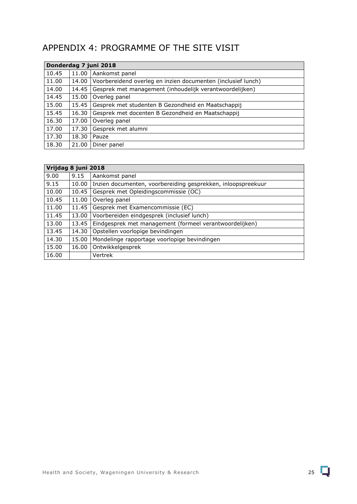# APPENDIX 4: PROGRAMME OF THE SITE VISIT

| Donderdag 7 juni 2018 |       |                                                              |  |  |
|-----------------------|-------|--------------------------------------------------------------|--|--|
| 10.45                 | 11.00 | Aankomst panel                                               |  |  |
| 11.00                 | 14.00 | Voorbereidend overleg en inzien documenten (inclusief lunch) |  |  |
| 14.00                 | 14.45 | Gesprek met management (inhoudelijk verantwoordelijken)      |  |  |
| 14.45                 | 15.00 | Overleg panel                                                |  |  |
| 15.00                 | 15.45 | Gesprek met studenten B Gezondheid en Maatschappij           |  |  |
| 15.45                 | 16.30 | Gesprek met docenten B Gezondheid en Maatschappij            |  |  |
| 16.30                 | 17.00 | Overleg panel                                                |  |  |
| 17.00                 | 17.30 | Gesprek met alumni                                           |  |  |
| 17.30                 | 18.30 | Pauze                                                        |  |  |
| 18.30                 | 21.00 | Diner panel                                                  |  |  |

| Vrijdag 8 juni 2018 |       |                                                              |  |  |
|---------------------|-------|--------------------------------------------------------------|--|--|
| 9.00                | 9.15  | Aankomst panel                                               |  |  |
| 9.15                | 10.00 | Inzien documenten, voorbereiding gesprekken, inloopspreekuur |  |  |
| 10.00               | 10.45 | Gesprek met Opleidingscommissie (OC)                         |  |  |
| 10.45               | 11.00 | Overleg panel                                                |  |  |
| 11.00               | 11.45 | Gesprek met Examencommissie (EC)                             |  |  |
| 11.45               | 13.00 | Voorbereiden eindgesprek (inclusief lunch)                   |  |  |
| 13.00               | 13.45 | Eindgesprek met management (formeel verantwoordelijken)      |  |  |
| 13.45               | 14.30 | Opstellen voorlopige bevindingen                             |  |  |
| 14.30               | 15.00 | Mondelinge rapportage voorlopige bevindingen                 |  |  |
| 15.00               | 16.00 | Ontwikkelgesprek                                             |  |  |
| 16.00               |       | Vertrek                                                      |  |  |